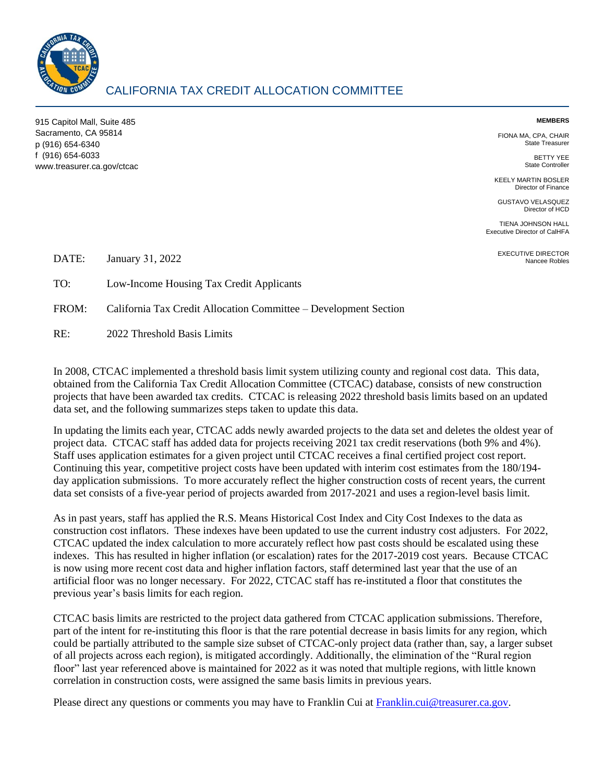

## CALIFORNIA TAX CREDIT ALLOCATION COMMITTEE

915 Capitol Mall, Suite 485 Sacramento, CA 95814 p (916) 654-6340 f (916) 654-6033 www.treasurer.ca.gov/ctcac

## **MEMBERS**

FIONA MA, CPA, CHAIR State Treasurer

> BETTY YEE State Controller

KEELY MARTIN BOSLER Director of Finance

GUSTAVO VELASQUEZ Director of HCD

TIENA JOHNSON HALL Executive Director of CalHFA

> EXECUTIVE DIRECTOR Nancee Robles

DATE: January 31, 2022

TO: Low-Income Housing Tax Credit Applicants

FROM: California Tax Credit Allocation Committee – Development Section

 $RE<sup>+</sup>$ 2022 Threshold Basis Limits

In 2008, CTCAC implemented a threshold basis limit system utilizing county and regional cost data. This data, obtained from the California Tax Credit Allocation Committee (CTCAC) database, consists of new construction projects that have been awarded tax credits. CTCAC is releasing 2022 threshold basis limits based on an updated data set, and the following summarizes steps taken to update this data.

In updating the limits each year, CTCAC adds newly awarded projects to the data set and deletes the oldest year of project data. CTCAC staff has added data for projects receiving 2021 tax credit reservations (both 9% and 4%). Staff uses application estimates for a given project until CTCAC receives a final certified project cost report. Continuing this year, competitive project costs have been updated with interim cost estimates from the 180/194 day application submissions. To more accurately reflect the higher construction costs of recent years, the current data set consists of a five-year period of projects awarded from 2017-2021 and uses a region-level basis limit.

As in past years, staff has applied the R.S. Means Historical Cost Index and City Cost Indexes to the data as construction cost inflators. These indexes have been updated to use the current industry cost adjusters. For 2022, CTCAC updated the index calculation to more accurately reflect how past costs should be escalated using these indexes. This has resulted in higher inflation (or escalation) rates for the 2017-2019 cost years. Because CTCAC is now using more recent cost data and higher inflation factors, staff determined last year that the use of an artificial floor was no longer necessary. For 2022, CTCAC staff has re-instituted a floor that constitutes the previous year's basis limits for each region.

CTCAC basis limits are restricted to the project data gathered from CTCAC application submissions. Therefore, part of the intent for re-instituting this floor is that the rare potential decrease in basis limits for any region, which could be partially attributed to the sample size subset of CTCAC-only project data (rather than, say, a larger subset of all projects across each region), is mitigated accordingly. Additionally, the elimination of the "Rural region floor" last year referenced above is maintained for 2022 as it was noted that multiple regions, with little known correlation in construction costs, were assigned the same basis limits in previous years.

Please direct any questions or comments you may have to Franklin Cui at [Franklin.cui@treasurer.ca.gov.](mailto:Franklin.cui@treasurer.ca.gov)